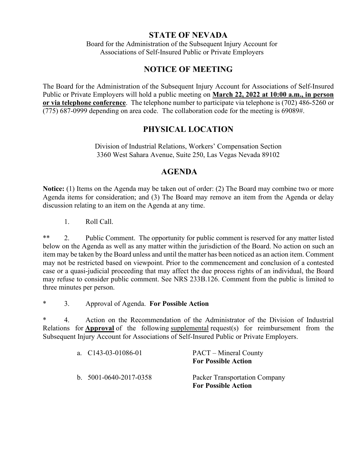## **STATE OF NEVADA**

Board for the Administration of the Subsequent Injury Account for Associations of Self-Insured Public or Private Employers

# **NOTICE OF MEETING**

The Board for the Administration of the Subsequent Injury Account for Associations of Self-Insured Public or Private Employers will hold a public meeting on **March 22, 2022 at 10:00 a.m., in person or via telephone conference**. The telephone number to participate via telephone is (702) 486-5260 or (775) 687-0999 depending on area code. The collaboration code for the meeting is 69089#.

# **PHYSICAL LOCATION**

Division of Industrial Relations, Workers' Compensation Section 3360 West Sahara Avenue, Suite 250, Las Vegas Nevada 89102

## **AGENDA**

**Notice:** (1) Items on the Agenda may be taken out of order: (2) The Board may combine two or more Agenda items for consideration; and (3) The Board may remove an item from the Agenda or delay discussion relating to an item on the Agenda at any time.

1. Roll Call.

\*\* 2. Public Comment. The opportunity for public comment is reserved for any matter listed below on the Agenda as well as any matter within the jurisdiction of the Board. No action on such an item may be taken by the Board unless and until the matter has been noticed as an action item. Comment may not be restricted based on viewpoint. Prior to the commencement and conclusion of a contested case or a quasi-judicial proceeding that may affect the due process rights of an individual, the Board may refuse to consider public comment. See NRS 233B.126. Comment from the public is limited to three minutes per person.

\* 3. Approval of Agenda. **For Possible Action**

\* 4. Action on the Recommendation of the Administrator of the Division of Industrial Relations for **Approval** of the following supplemental request(s) for reimbursement from the Subsequent Injury Account for Associations of Self-Insured Public or Private Employers.

| a. $C143-03-01086-01$          | <b>PACT</b> – Mineral County<br><b>For Possible Action</b>  |
|--------------------------------|-------------------------------------------------------------|
| b. $5001 - 0640 - 2017 - 0358$ | Packer Transportation Company<br><b>For Possible Action</b> |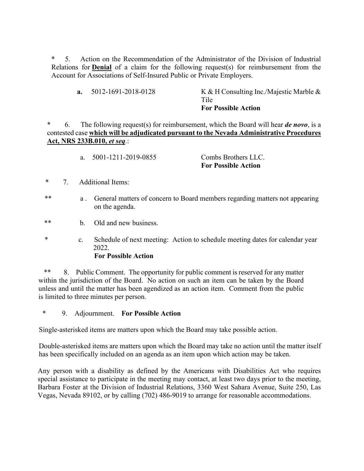5. Action on the Recommendation of the Administrator of the Division of Industrial Relations for **Denial** of a claim for the following request(s) for reimbursement from the Account for Associations of Self-Insured Public or Private Employers.

| <b>a.</b> $5012 - 1691 - 2018 - 0128$ | K & H Consulting Inc./Majestic Marble $\&$ |
|---------------------------------------|--------------------------------------------|
|                                       | Tile                                       |
|                                       | <b>For Possible Action</b>                 |

\* 6. The following request(s) for reimbursement, which the Board will hear *de novo*, is a contested case **which will be adjudicated pursuant to the Nevada Administrative Procedures Act, NRS 233B.010,** *et seq*.:

| <b>For Possible Action</b>     |
|--------------------------------|
| Combs Brothers LLC.            |
| a. $5001 - 1211 - 2019 - 0855$ |

- \* 7. Additional Items:
- \*\* a . General matters of concern to Board members regarding matters not appearing on the agenda.
- b. Old and new business.
- \* c. Schedule of next meeting: Action to schedule meeting dates for calendar year 2022.

#### **For Possible Action**

 \*\* 8. Public Comment. The opportunity for public comment is reserved for any matter within the jurisdiction of the Board. No action on such an item can be taken by the Board unless and until the matter has been agendized as an action item. Comment from the public is limited to three minutes per person.

\* 9. Adjournment. **For Possible Action** 

Single-asterisked items are matters upon which the Board may take possible action.

Double-asterisked items are matters upon which the Board may take no action until the matter itself has been specifically included on an agenda as an item upon which action may be taken.

Any person with a disability as defined by the Americans with Disabilities Act who requires special assistance to participate in the meeting may contact, at least two days prior to the meeting, Barbara Foster at the Division of Industrial Relations, 3360 West Sahara Avenue, Suite 250, Las Vegas, Nevada 89102, or by calling (702) 486-9019 to arrange for reasonable accommodations.